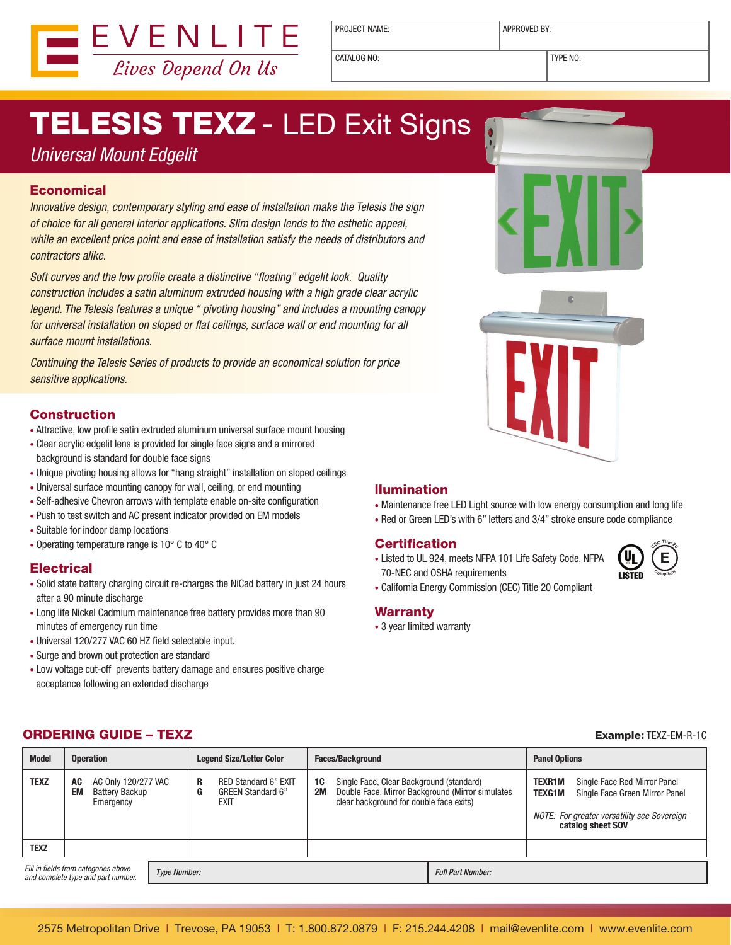

PROJECT NAME: <br> APPROVED BY:

CATALOG NO: TYPE NO:

# **TELESIS TEXZ - LED Exit Signs**

### *Universal Mount Edgelit*

#### **Economical**

*Innovative design, contemporary styling and ease of installation make the Telesis the sign of choice for all general interior applications. Slim design lends to the esthetic appeal, while an excellent price point and ease of installation satisfy the needs of distributors and contractors alike.*

*Soft curves and the low profile create a distinctive "floating" edgelit look. Quality construction includes a satin aluminum extruded housing with a high grade clear acrylic legend. The Telesis features a unique " pivoting housing" and includes a mounting canopy for universal installation on sloped or flat ceilings, surface wall or end mounting for all surface mount installations.*

*Continuing the Telesis Series of products to provide an economical solution for price sensitive applications.* 

#### **Construction**

- Attractive, low profile satin extruded aluminum universal surface mount housing
- Clear acrylic edgelit lens is provided for single face signs and a mirrored background is standard for double face signs
- Unique pivoting housing allows for "hang straight" installation on sloped ceilings
- Universal surface mounting canopy for wall, ceiling, or end mounting
- Self-adhesive Chevron arrows with template enable on-site configuration
- Push to test switch and AC present indicator provided on EM models
- Suitable for indoor damp locations
- Operating temperature range is 10° C to 40° C

#### **Electrical**

- Solid state battery charging circuit re-charges the NiCad battery in just 24 hours after a 90 minute discharge
- Long life Nickel Cadmium maintenance free battery provides more than 90 minutes of emergency run time
- Universal 120/277 VAC 60 HZ field selectable input.
- Surge and brown out protection are standard
- Low voltage cut-off prevents battery damage and ensures positive charge acceptance following an extended discharge

#### llumination

- Maintenance free LED Light source with low energy consumption and long life
- Red or Green LED's with 6" letters and 3/4" stroke ensure code compliance

#### **Certification**

• Listed to UL 924, meets NFPA 101 Life Safety Code, NFPA 70-NEC and OSHA requirements



• California Energy Commission (CEC) Title 20 Compliant

#### **Warranty**

• 3 year limited warranty

#### **ORDERING GUIDE – TEXZ Example: TEXZ-EM-R-1C**

| <b>Model</b>                                                                                      | <b>Operation</b> |                                                           |  | <b>Legend Size/Letter Color</b> |                                                                 | <b>Faces/Background</b> |                                                                                                                                         | <b>Panel Options</b> |                  |                                                                                                                                    |
|---------------------------------------------------------------------------------------------------|------------------|-----------------------------------------------------------|--|---------------------------------|-----------------------------------------------------------------|-------------------------|-----------------------------------------------------------------------------------------------------------------------------------------|----------------------|------------------|------------------------------------------------------------------------------------------------------------------------------------|
| <b>TEXZ</b>                                                                                       | AC<br>EM         | AC 0nly 120/277 VAC<br><b>Battery Backup</b><br>Emergency |  | R<br>G                          | <b>RED Standard 6" EXIT</b><br><b>GREEN Standard 6"</b><br>EXIT | 1C<br><b>2M</b>         | Single Face, Clear Background (standard)<br>Double Face, Mirror Background (Mirror simulates<br>clear background for double face exits) |                      | TEXR1M<br>TEXG1M | Single Face Red Mirror Panel<br>Single Face Green Mirror Panel<br>NOTE: For greater versatility see Sovereign<br>catalog sheet SOV |
| <b>TEXZ</b>                                                                                       |                  |                                                           |  |                                 |                                                                 |                         |                                                                                                                                         |                      |                  |                                                                                                                                    |
| Fill in fields from categories above<br><b>Type Number:</b><br>and complete type and part number. |                  |                                                           |  |                                 |                                                                 |                         | <b>Full Part Number:</b>                                                                                                                |                      |                  |                                                                                                                                    |